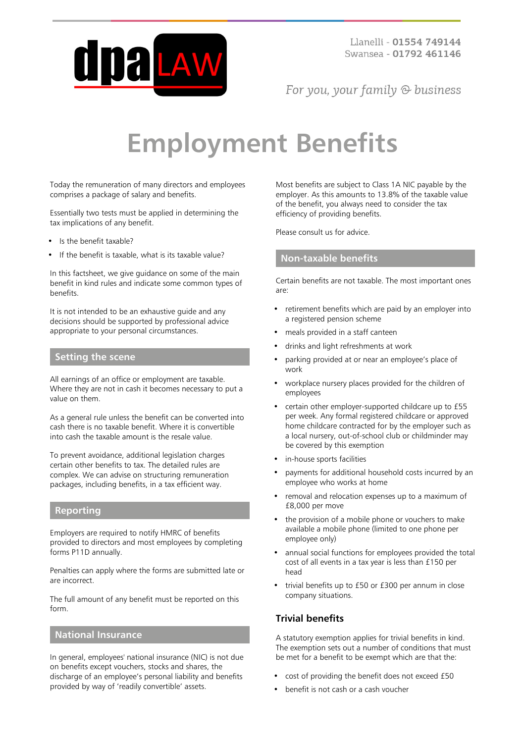

For you, your family  $\odot$  business

# **Employment Benefits**

Today the remuneration of many directors and employees comprises a package of salary and benefits.

Essentially two tests must be applied in determining the tax implications of any benefit.

- Is the benefit taxable?
- If the benefit is taxable, what is its taxable value?

In this factsheet, we give guidance on some of the main benefit in kind rules and indicate some common types of benefits.

It is not intended to be an exhaustive guide and any decisions should be supported by professional advice appropriate to your personal circumstances.

#### **Setting the scene**

All earnings of an office or employment are taxable. Where they are not in cash it becomes necessary to put a value on them.

As a general rule unless the benefit can be converted into cash there is no taxable benefit. Where it is convertible into cash the taxable amount is the resale value.

To prevent avoidance, additional legislation charges certain other benefits to tax. The detailed rules are complex. We can advise on structuring remuneration packages, including benefits, in a tax efficient way.

#### **Reporting**

Employers are required to notify HMRC of benefits provided to directors and most employees by completing forms P11D annually.

Penalties can apply where the forms are submitted late or are incorrect.

The full amount of any benefit must be reported on this form.

# **National Insurance**

In general, employees' national insurance (NIC) is not due on benefits except vouchers, stocks and shares, the discharge of an employee's personal liability and benefits provided by way of 'readily convertible' assets.

Most benefits are subject to Class 1A NIC payable by the employer. As this amounts to 13.8% of the taxable value of the benefit, you always need to consider the tax efficiency of providing benefits.

Please consult us for advice.

## **Non-taxable benefits**

Certain benefits are not taxable. The most important ones are:

- retirement benefits which are paid by an employer into a registered pension scheme
- meals provided in a staff canteen
- drinks and light refreshments at work
- parking provided at or near an employee's place of work
- workplace nursery places provided for the children of employees
- certain other employer-supported childcare up to £55 per week. Any formal registered childcare or approved home childcare contracted for by the employer such as a local nursery, out-of-school club or childminder may be covered by this exemption
- in-house sports facilities
- payments for additional household costs incurred by an employee who works at home
- removal and relocation expenses up to a maximum of £8,000 per move
- the provision of a mobile phone or vouchers to make available a mobile phone (limited to one phone per employee only)
- annual social functions for employees provided the total cost of all events in a tax year is less than £150 per head
- trivial benefits up to £50 or £300 per annum in close company situations.

## **Trivial benefits**

A statutory exemption applies for trivial benefits in kind. The exemption sets out a number of conditions that must be met for a benefit to be exempt which are that the:

- cost of providing the benefit does not exceed £50
- benefit is not cash or a cash voucher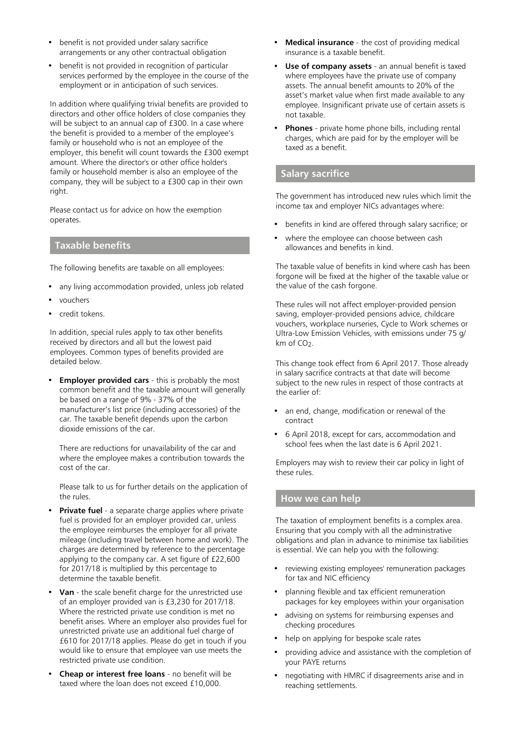- benefit is not provided under salary sacrifice arrangements or any other contractual obligation
- benefit is not provided in recognition of particular services performed by the employee in the course of the employment or in anticipation of such services.

In addition where qualifying trivial benefits are provided to directors and other office holders of close companies they will be subject to an annual cap of £300. In a case where the benefit is provided to a member of the employee's family or household who is not an employee of the employer, this benefit will count towards the £300 exempt amount. Where the director's or other office holder's family or household member is also an employee of the company, they will be subject to a £300 cap in their own right.

Please contact us for advice on how the exemption operates.

### **Taxable benefits**

The following benefits are taxable on all employees:

- any living accommodation provided, unless job related
- vouchers
- credit tokens.

In addition, special rules apply to tax other benefits received by directors and all but the lowest paid employees. Common types of benefits provided are detailed below.

• **Employer provided cars** - this is probably the most common benefit and the taxable amount will generally be based on a range of 9% - 37% of the manufacturer's list price (including accessories) of the car. The taxable benefit depends upon the carbon dioxide emissions of the car.

There are reductions for unavailability of the car and where the employee makes a contribution towards the cost of the car.

Please talk to us for further details on the application of the rules.

- **Private fuel** a separate charge applies where private fuel is provided for an employer provided car, unless the employee reimburses the employer for all private mileage (including travel between home and work). The charges are determined by reference to the percentage applying to the company car. A set figure of £22,600 for 2017/18 is multiplied by this percentage to determine the taxable benefit.
- **Van** the scale benefit charge for the unrestricted use of an employer provided van is £3,230 for 2017/18. Where the restricted private use condition is met no benefit arises. Where an employer also provides fuel for unrestricted private use an additional fuel charge of £610 for 2017/18 applies. Please do get in touch if you would like to ensure that employee van use meets the restricted private use condition.
- **Cheap or interest free loans** no benefit will be taxed where the loan does not exceed £10,000.
- **Medical insurance** the cost of providing medical insurance is a taxable benefit.
- **Use of company assets** an annual benefit is taxed where employees have the private use of company assets. The annual benefit amounts to 20% of the asset's market value when first made available to any employee. Insignificant private use of certain assets is not taxable.
- **Phones** private home phone bills, including rental charges, which are paid for by the employer will be taxed as a benefit.

## **Salary sacrifice**

The government has introduced new rules which limit the income tax and employer NICs advantages where:

- benefits in kind are offered through salary sacrifice; or
- where the employee can choose between cash allowances and benefits in kind.

The taxable value of benefits in kind where cash has been forgone will be fixed at the higher of the taxable value or the value of the cash forgone.

These rules will not affect employer-provided pension saving, employer-provided pensions advice, childcare vouchers, workplace nurseries, Cycle to Work schemes or Ultra-Low Emission Vehicles, with emissions under 75 g/ km of CO<sub>2</sub>.

This change took effect from 6 April 2017. Those already in salary sacrifice contracts at that date will become subject to the new rules in respect of those contracts at the earlier of:

- an end, change, modification or renewal of the contract
- 6 April 2018, except for cars, accommodation and school fees when the last date is 6 April 2021.

Employers may wish to review their car policy in light of these rules.

#### **How we can help**

The taxation of employment benefits is a complex area. Ensuring that you comply with all the administrative obligations and plan in advance to minimise tax liabilities is essential. We can help you with the following:

- reviewing existing employees' remuneration packages for tax and NIC efficiency
- planning flexible and tax efficient remuneration packages for key employees within your organisation
- advising on systems for reimbursing expenses and checking procedures
- help on applying for bespoke scale rates
- providing advice and assistance with the completion of your PAYE returns
- negotiating with HMRC if disagreements arise and in reaching settlements.